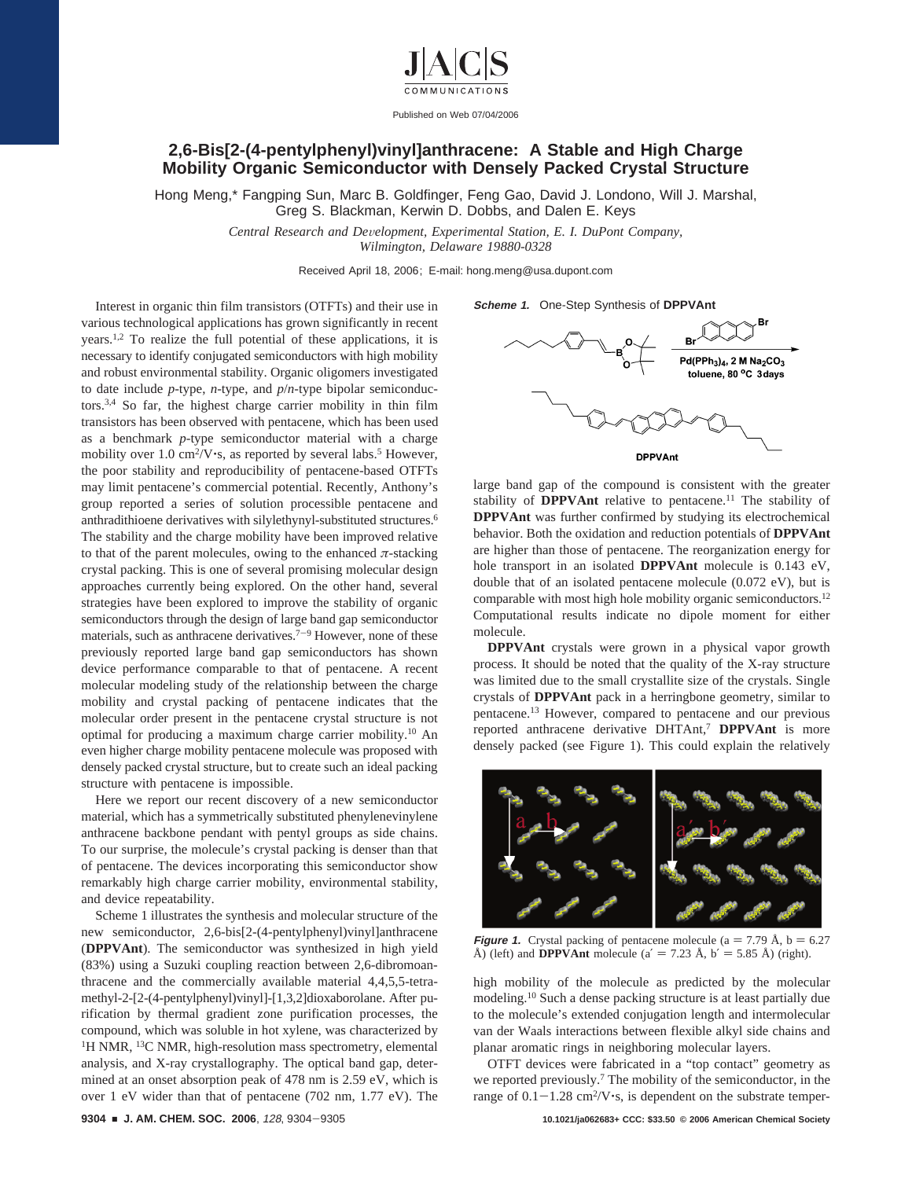

Published on Web 07/04/2006

## **2,6-Bis[2-(4-pentylphenyl)vinyl]anthracene: A Stable and High Charge Mobility Organic Semiconductor with Densely Packed Crystal Structure**

Hong Meng,\* Fangping Sun, Marc B. Goldfinger, Feng Gao, David J. Londono, Will J. Marshal, Greg S. Blackman, Kerwin D. Dobbs, and Dalen E. Keys

> *Central Research and De*V*elopment, Experimental Station, E. I. DuPont Company, Wilmington, Delaware 19880-0328*

> > Received April 18, 2006; E-mail: hong.meng@usa.dupont.com

Interest in organic thin film transistors (OTFTs) and their use in various technological applications has grown significantly in recent years.1,2 To realize the full potential of these applications, it is necessary to identify conjugated semiconductors with high mobility and robust environmental stability. Organic oligomers investigated to date include *p*-type, *n*-type, and *p*/*n*-type bipolar semiconductors.3,4 So far, the highest charge carrier mobility in thin film transistors has been observed with pentacene, which has been used as a benchmark *p*-type semiconductor material with a charge mobility over 1.0 cm<sup>2</sup>/V $\cdot$ s, as reported by several labs.<sup>5</sup> However, the poor stability and reproducibility of pentacene-based OTFTs may limit pentacene's commercial potential. Recently, Anthony's group reported a series of solution processible pentacene and anthradithioene derivatives with silylethynyl-substituted structures.6 The stability and the charge mobility have been improved relative to that of the parent molecules, owing to the enhanced  $\pi$ -stacking crystal packing. This is one of several promising molecular design approaches currently being explored. On the other hand, several strategies have been explored to improve the stability of organic semiconductors through the design of large band gap semiconductor materials, such as anthracene derivatives.<sup> $7-9$ </sup> However, none of these previously reported large band gap semiconductors has shown device performance comparable to that of pentacene. A recent molecular modeling study of the relationship between the charge mobility and crystal packing of pentacene indicates that the molecular order present in the pentacene crystal structure is not optimal for producing a maximum charge carrier mobility.10 An even higher charge mobility pentacene molecule was proposed with densely packed crystal structure, but to create such an ideal packing structure with pentacene is impossible.

Here we report our recent discovery of a new semiconductor material, which has a symmetrically substituted phenylenevinylene anthracene backbone pendant with pentyl groups as side chains. To our surprise, the molecule's crystal packing is denser than that of pentacene. The devices incorporating this semiconductor show remarkably high charge carrier mobility, environmental stability, and device repeatability.

Scheme 1 illustrates the synthesis and molecular structure of the new semiconductor, 2,6-bis[2-(4-pentylphenyl)vinyl]anthracene (**DPPVAnt**). The semiconductor was synthesized in high yield (83%) using a Suzuki coupling reaction between 2,6-dibromoanthracene and the commercially available material 4,4,5,5-tetramethyl-2-[2-(4-pentylphenyl)vinyl]-[1,3,2]dioxaborolane. After purification by thermal gradient zone purification processes, the compound, which was soluble in hot xylene, was characterized by <sup>1</sup>H NMR, <sup>13</sup>C NMR, high-resolution mass spectrometry, elemental analysis, and X-ray crystallography. The optical band gap, determined at an onset absorption peak of 478 nm is 2.59 eV, which is over 1 eV wider than that of pentacene (702 nm, 1.77 eV). The

**Scheme 1.** One-Step Synthesis of **DPPVAnt**



large band gap of the compound is consistent with the greater stability of **DPPVAnt** relative to pentacene.<sup>11</sup> The stability of **DPPVAnt** was further confirmed by studying its electrochemical behavior. Both the oxidation and reduction potentials of **DPPVAnt** are higher than those of pentacene. The reorganization energy for hole transport in an isolated **DPPVAnt** molecule is 0.143 eV, double that of an isolated pentacene molecule (0.072 eV), but is comparable with most high hole mobility organic semiconductors.12 Computational results indicate no dipole moment for either molecule.

**DPPVAnt** crystals were grown in a physical vapor growth process. It should be noted that the quality of the X-ray structure was limited due to the small crystallite size of the crystals. Single crystals of **DPPVAnt** pack in a herringbone geometry, similar to pentacene.13 However, compared to pentacene and our previous reported anthracene derivative DHTAnt,7 **DPPVAnt** is more densely packed (see Figure 1). This could explain the relatively



**Figure 1.** Crystal packing of pentacene molecule ( $a = 7.79$  Å,  $b = 6.27$ Å) (left) and **DPPVAnt** molecule ( $a' = 7.23$  Å,  $b' = 5.85$  Å) (right).

high mobility of the molecule as predicted by the molecular modeling.10 Such a dense packing structure is at least partially due to the molecule's extended conjugation length and intermolecular van der Waals interactions between flexible alkyl side chains and planar aromatic rings in neighboring molecular layers.

OTFT devices were fabricated in a "top contact" geometry as we reported previously.7 The mobility of the semiconductor, in the range of  $0.1-1.28$  cm<sup>2</sup>/V $\cdot$ s, is dependent on the substrate temper-